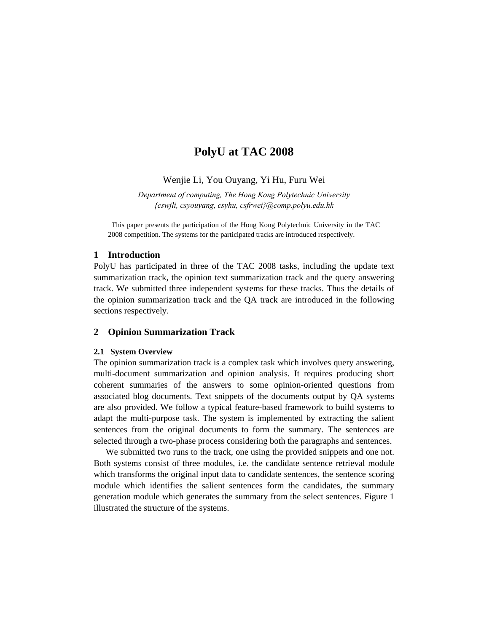# **PolyU at TAC 2008**

Wenjie Li, You Ouyang, Yi Hu, Furu Wei

*Department of computing, The Hong Kong Polytechnic University {cswjli, csyouyang, csyhu, csfrwei}@comp.polyu.edu.hk* 

 This paper presents the participation of the Hong Kong Polytechnic University in the TAC 2008 competition. The systems for the participated tracks are introduced respectively.

#### **1 Introduction**

PolyU has participated in three of the TAC 2008 tasks, including the update text summarization track, the opinion text summarization track and the query answering track. We submitted three independent systems for these tracks. Thus the details of the opinion summarization track and the QA track are introduced in the following sections respectively.

#### **2 Opinion Summarization Track**

#### **2.1 System Overview**

The opinion summarization track is a complex task which involves query answering, multi-document summarization and opinion analysis. It requires producing short coherent summaries of the answers to some opinion-oriented questions from associated blog documents. Text snippets of the documents output by QA systems are also provided. We follow a typical feature-based framework to build systems to adapt the multi-purpose task. The system is implemented by extracting the salient sentences from the original documents to form the summary. The sentences are selected through a two-phase process considering both the paragraphs and sentences.

We submitted two runs to the track, one using the provided snippets and one not. Both systems consist of three modules, i.e. the candidate sentence retrieval module which transforms the original input data to candidate sentences, the sentence scoring module which identifies the salient sentences form the candidates, the summary generation module which generates the summary from the select sentences. Figure 1 illustrated the structure of the systems.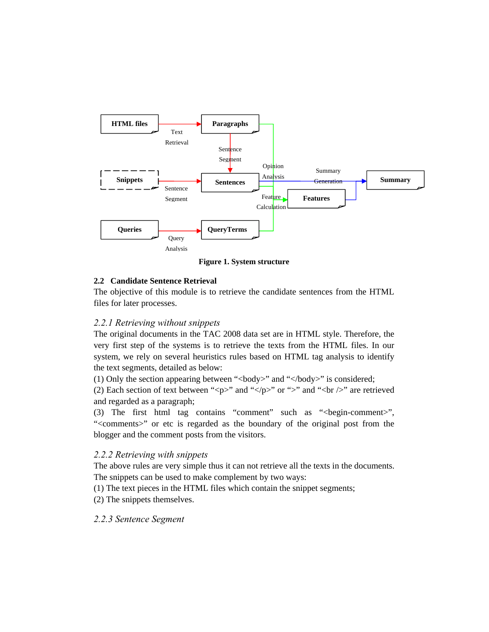

**Figure 1. System structure**

## **2.2 Candidate Sentence Retrieval**

The objective of this module is to retrieve the candidate sentences from the HTML files for later processes.

# *2.2.1 Retrieving without snippets*

The original documents in the TAC 2008 data set are in HTML style. Therefore, the very first step of the systems is to retrieve the texts from the HTML files. In our system, we rely on several heuristics rules based on HTML tag analysis to identify the text segments, detailed as below:

(1) Only the section appearing between " $\langle \text{body}\rangle$ " and " $\langle \text{body}\rangle$ " is considered;

(2) Each section of text between "<p>" and "</p>" or ">" and "<br/><br/>to  $\sim$ " are retrieved and regarded as a paragraph;

(3) The first html tag contains "comment" such as "<br/>begin-comment>", "<comments>" or etc is regarded as the boundary of the original post from the blogger and the comment posts from the visitors.

### *2.2.2 Retrieving with snippets*

The above rules are very simple thus it can not retrieve all the texts in the documents. The snippets can be used to make complement by two ways:

(1) The text pieces in the HTML files which contain the snippet segments;

(2) The snippets themselves.

# *2.2.3 Sentence Segment*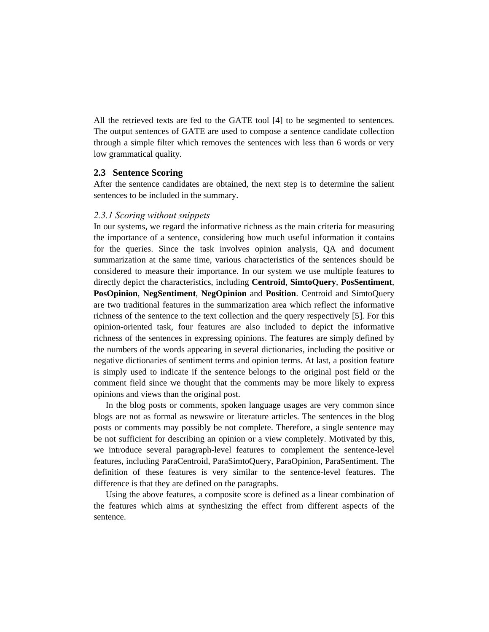All the retrieved texts are fed to the GATE tool [4] to be segmented to sentences. The output sentences of GATE are used to compose a sentence candidate collection through a simple filter which removes the sentences with less than 6 words or very low grammatical quality.

### **2.3 Sentence Scoring**

After the sentence candidates are obtained, the next step is to determine the salient sentences to be included in the summary.

### *2.3.1 Scoring without snippets*

In our systems, we regard the informative richness as the main criteria for measuring the importance of a sentence, considering how much useful information it contains for the queries. Since the task involves opinion analysis, QA and document summarization at the same time, various characteristics of the sentences should be considered to measure their importance. In our system we use multiple features to directly depict the characteristics, including **Centroid**, **SimtoQuery**, **PosSentiment**, **PosOpinion**, **NegSentiment**, **NegOpinion** and **Position**. Centroid and SimtoQuery are two traditional features in the summarization area which reflect the informative richness of the sentence to the text collection and the query respectively [5]. For this opinion-oriented task, four features are also included to depict the informative richness of the sentences in expressing opinions. The features are simply defined by the numbers of the words appearing in several dictionaries, including the positive or negative dictionaries of sentiment terms and opinion terms. At last, a position feature is simply used to indicate if the sentence belongs to the original post field or the comment field since we thought that the comments may be more likely to express opinions and views than the original post.

In the blog posts or comments, spoken language usages are very common since blogs are not as formal as newswire or literature articles. The sentences in the blog posts or comments may possibly be not complete. Therefore, a single sentence may be not sufficient for describing an opinion or a view completely. Motivated by this, we introduce several paragraph-level features to complement the sentence-level features, including ParaCentroid, ParaSimtoQuery, ParaOpinion, ParaSentiment. The definition of these features is very similar to the sentence-level features. The difference is that they are defined on the paragraphs.

Using the above features, a composite score is defined as a linear combination of the features which aims at synthesizing the effect from different aspects of the sentence.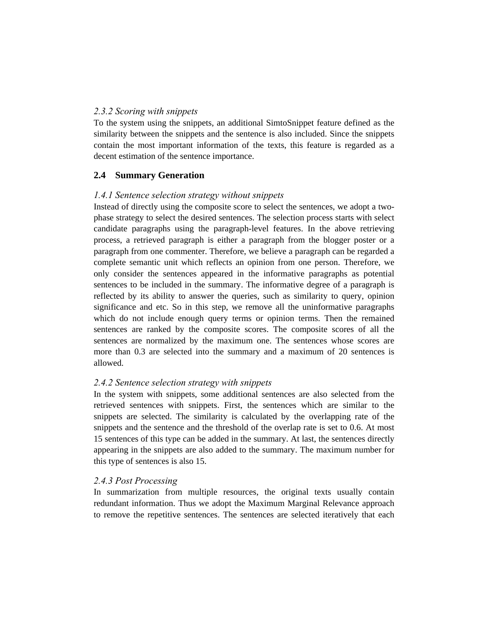### *2.3.2 Scoring with snippets*

To the system using the snippets, an additional SimtoSnippet feature defined as the similarity between the snippets and the sentence is also included. Since the snippets contain the most important information of the texts, this feature is regarded as a decent estimation of the sentence importance.

# **2.4 Summary Generation**

### *1.4.1 Sentence selection strategy without snippets*

Instead of directly using the composite score to select the sentences, we adopt a twophase strategy to select the desired sentences. The selection process starts with select candidate paragraphs using the paragraph-level features. In the above retrieving process, a retrieved paragraph is either a paragraph from the blogger poster or a paragraph from one commenter. Therefore, we believe a paragraph can be regarded a complete semantic unit which reflects an opinion from one person. Therefore, we only consider the sentences appeared in the informative paragraphs as potential sentences to be included in the summary. The informative degree of a paragraph is reflected by its ability to answer the queries, such as similarity to query, opinion significance and etc. So in this step, we remove all the uninformative paragraphs which do not include enough query terms or opinion terms. Then the remained sentences are ranked by the composite scores. The composite scores of all the sentences are normalized by the maximum one. The sentences whose scores are more than 0.3 are selected into the summary and a maximum of 20 sentences is allowed.

### *2.4.2 Sentence selection strategy with snippets*

In the system with snippets, some additional sentences are also selected from the retrieved sentences with snippets. First, the sentences which are similar to the snippets are selected. The similarity is calculated by the overlapping rate of the snippets and the sentence and the threshold of the overlap rate is set to 0.6. At most 15 sentences of this type can be added in the summary. At last, the sentences directly appearing in the snippets are also added to the summary. The maximum number for this type of sentences is also 15.

### *2.4.3 Post Processing*

In summarization from multiple resources, the original texts usually contain redundant information. Thus we adopt the Maximum Marginal Relevance approach to remove the repetitive sentences. The sentences are selected iteratively that each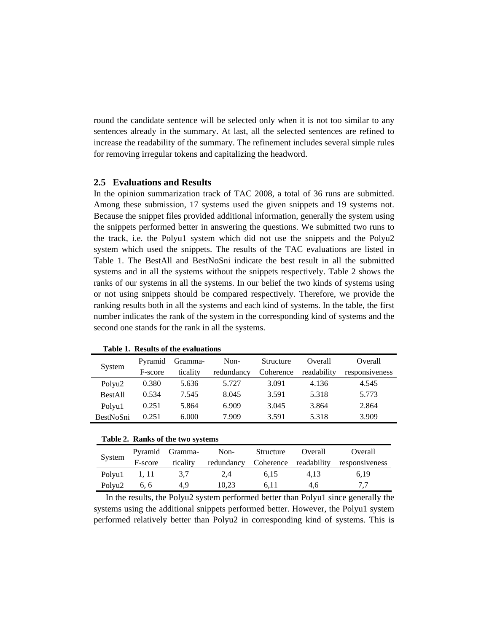round the candidate sentence will be selected only when it is not too similar to any sentences already in the summary. At last, all the selected sentences are refined to increase the readability of the summary. The refinement includes several simple rules for removing irregular tokens and capitalizing the headword.

### **2.5 Evaluations and Results**

In the opinion summarization track of TAC 2008, a total of 36 runs are submitted. Among these submission, 17 systems used the given snippets and 19 systems not. Because the snippet files provided additional information, generally the system using the snippets performed better in answering the questions. We submitted two runs to the track, i.e. the Polyu1 system which did not use the snippets and the Polyu2 system which used the snippets. The results of the TAC evaluations are listed in Table 1. The BestAll and BestNoSni indicate the best result in all the submitted systems and in all the systems without the snippets respectively. Table 2 shows the ranks of our systems in all the systems. In our belief the two kinds of systems using or not using snippets should be compared respectively. Therefore, we provide the ranking results both in all the systems and each kind of systems. In the table, the first number indicates the rank of the system in the corresponding kind of systems and the second one stands for the rank in all the systems.

| System           | Pyramid | Gramma-  | Non-       | Structure | Overall     | Overall        |
|------------------|---------|----------|------------|-----------|-------------|----------------|
|                  | F-score | ticality | redundancy | Coherence | readability | responsiveness |
| Polyu2           | 0.380   | 5.636    | 5.727      | 3.091     | 4.136       | 4.545          |
| <b>BestAll</b>   | 0.534   | 7.545    | 8.045      | 3.591     | 5.318       | 5.773          |
| Polyu1           | 0.251   | 5.864    | 6.909      | 3.045     | 3.864       | 2.864          |
| <b>BestNoSni</b> | 0.251   | 6.000    | 7.909      | 3.591     | 5.318       | 3.909          |

**Table 1. Results of the evaluations** 

#### **Table 2. Ranks of the two systems**

| System             |         | Pyramid Gramma- | Non-  | Structure | Overall | Overall                                         |
|--------------------|---------|-----------------|-------|-----------|---------|-------------------------------------------------|
|                    | F-score | ticality        |       |           |         | redundancy Coherence readability responsiveness |
| Polyu1 1, 11       |         | 3.7             | 2.4   | 6.15      | 4.13    | 6.19                                            |
| Polyu <sub>2</sub> | 6, 6    | 4.9             | 10.23 | 6.11      | 4.6     |                                                 |

In the results, the Polyu2 system performed better than Polyu1 since generally the systems using the additional snippets performed better. However, the Polyu1 system performed relatively better than Polyu2 in corresponding kind of systems. This is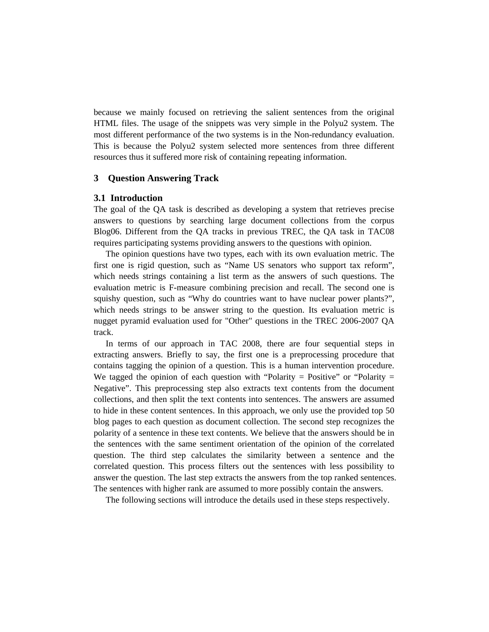because we mainly focused on retrieving the salient sentences from the original HTML files. The usage of the snippets was very simple in the Polyu2 system. The most different performance of the two systems is in the Non-redundancy evaluation. This is because the Polyu2 system selected more sentences from three different resources thus it suffered more risk of containing repeating information.

### **3 Question Answering Track**

#### **3.1 Introduction**

The goal of the QA task is described as developing a system that retrieves precise answers to questions by searching large document collections from the corpus Blog06. Different from the QA tracks in previous TREC, the QA task in TAC08 requires participating systems providing answers to the questions with opinion.

The opinion questions have two types, each with its own evaluation metric. The first one is rigid question, such as "Name US senators who support tax reform", which needs strings containing a list term as the answers of such questions. The evaluation metric is F-measure combining precision and recall. The second one is squishy question, such as "Why do countries want to have nuclear power plants?", which needs strings to be answer string to the question. Its evaluation metric is nugget pyramid evaluation used for "Other" questions in the TREC 2006-2007 QA track.

In terms of our approach in TAC 2008, there are four sequential steps in extracting answers. Briefly to say, the first one is a preprocessing procedure that contains tagging the opinion of a question. This is a human intervention procedure. We tagged the opinion of each question with "Polarity = Positive" or "Polarity = Negative". This preprocessing step also extracts text contents from the document collections, and then split the text contents into sentences. The answers are assumed to hide in these content sentences. In this approach, we only use the provided top 50 blog pages to each question as document collection. The second step recognizes the polarity of a sentence in these text contents. We believe that the answers should be in the sentences with the same sentiment orientation of the opinion of the correlated question. The third step calculates the similarity between a sentence and the correlated question. This process filters out the sentences with less possibility to answer the question. The last step extracts the answers from the top ranked sentences. The sentences with higher rank are assumed to more possibly contain the answers.

The following sections will introduce the details used in these steps respectively.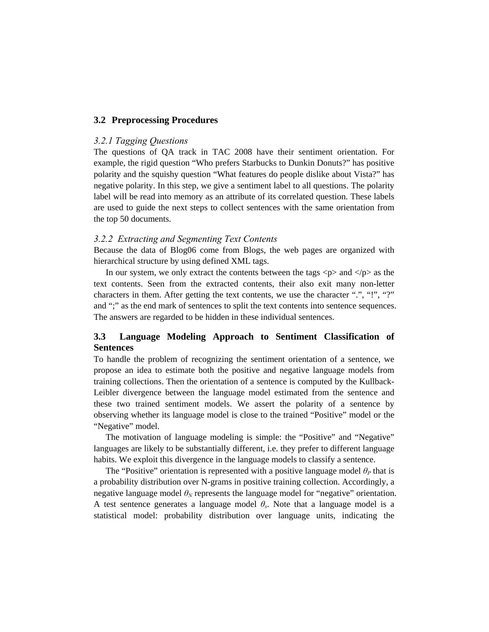### **3.2 Preprocessing Procedures**

#### *3.2.1 Tagging Questions*

The questions of QA track in TAC 2008 have their sentiment orientation. For example, the rigid question "Who prefers Starbucks to Dunkin Donuts?" has positive polarity and the squishy question "What features do people dislike about Vista?" has negative polarity. In this step, we give a sentiment label to all questions. The polarity label will be read into memory as an attribute of its correlated question. These labels are used to guide the next steps to collect sentences with the same orientation from the top 50 documents.

### *3.2.2 Extracting and Segmenting Text Contents*

Because the data of Blog06 come from Blogs, the web pages are organized with hierarchical structure by using defined XML tags.

In our system, we only extract the contents between the tags  $\langle p \rangle$  and  $\langle p \rangle$  as the text contents. Seen from the extracted contents, their also exit many non-letter characters in them. After getting the text contents, we use the character ".", "!", "?" and ";" as the end mark of sentences to split the text contents into sentence sequences. The answers are regarded to be hidden in these individual sentences.

# **3.3 Language Modeling Approach to Sentiment Classification of Sentences**

To handle the problem of recognizing the sentiment orientation of a sentence, we propose an idea to estimate both the positive and negative language models from training collections. Then the orientation of a sentence is computed by the Kullback-Leibler divergence between the language model estimated from the sentence and these two trained sentiment models. We assert the polarity of a sentence by observing whether its language model is close to the trained "Positive" model or the "Negative" model.

The motivation of language modeling is simple: the "Positive" and "Negative" languages are likely to be substantially different, i.e. they prefer to different language habits. We exploit this divergence in the language models to classify a sentence.

The "Positive" orientation is represented with a positive language model  $\theta$ <sup>*P*</sup> that is a probability distribution over N-grams in positive training collection. Accordingly, a negative language model  $\theta_N$  represents the language model for "negative" orientation. A test sentence generates a language model  $\theta_s$ . Note that a language model is a statistical model: probability distribution over language units, indicating the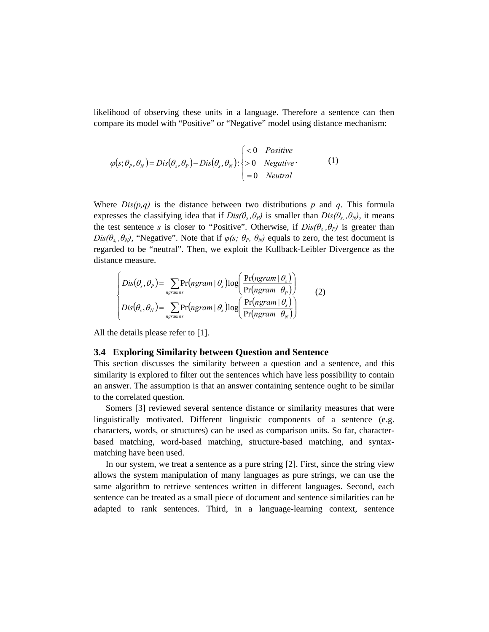likelihood of observing these units in a language. Therefore a sentence can then compare its model with "Positive" or "Negative" model using distance mechanism:

$$
\varphi(s; \theta_P, \theta_N) = Dis(\theta_s, \theta_P) - Dis(\theta_s, \theta_N) : \begin{cases} < 0 & Positive \\ > 0 & Negative \\ = 0 & Neutral \end{cases} \tag{1}
$$

Where  $Dis(p,q)$  is the distance between two distributions p and q. This formula expresses the classifying idea that if  $Dis(\theta_s, \theta_P)$  is smaller than  $Dis(\theta_s, \theta_N)$ , it means the test sentence *s* is closer to "Positive". Otherwise, if  $Dis(\theta_s, \theta_p)$  is greater than *Dis(* $\theta_s$ *,*  $\theta_N$ *)*, "Negative". Note that if  $\varphi(s; \theta_P, \theta_N)$  equals to zero, the test document is regarded to be "neutral". Then, we exploit the Kullback-Leibler Divergence as the distance measure.

$$
Dis(\theta_s, \theta_p) = \sum_{\substack{n \text{gram} \in S}} Pr(\text{ngram} | \theta_s) \log \left( \frac{Pr(\text{ngram} | \theta_s)}{Pr(\text{ngram} | \theta_p)} \right) \tag{2}
$$
  

$$
Dis(\theta_s, \theta_N) = \sum_{\substack{n \text{gram} \in S}} Pr(\text{ngram} | \theta_s) \log \left( \frac{Pr(\text{ngram} | \theta_s)}{Pr(\text{ngram} | \theta_N)} \right)
$$

All the details please refer to [1].

### **3.4 Exploring Similarity between Question and Sentence**

This section discusses the similarity between a question and a sentence, and this similarity is explored to filter out the sentences which have less possibility to contain an answer. The assumption is that an answer containing sentence ought to be similar to the correlated question.

Somers [3] reviewed several sentence distance or similarity measures that were linguistically motivated. Different linguistic components of a sentence (e.g. characters, words, or structures) can be used as comparison units. So far, characterbased matching, word-based matching, structure-based matching, and syntaxmatching have been used.

In our system, we treat a sentence as a pure string [2]. First, since the string view allows the system manipulation of many languages as pure strings, we can use the same algorithm to retrieve sentences written in different languages. Second, each sentence can be treated as a small piece of document and sentence similarities can be adapted to rank sentences. Third, in a language-learning context, sentence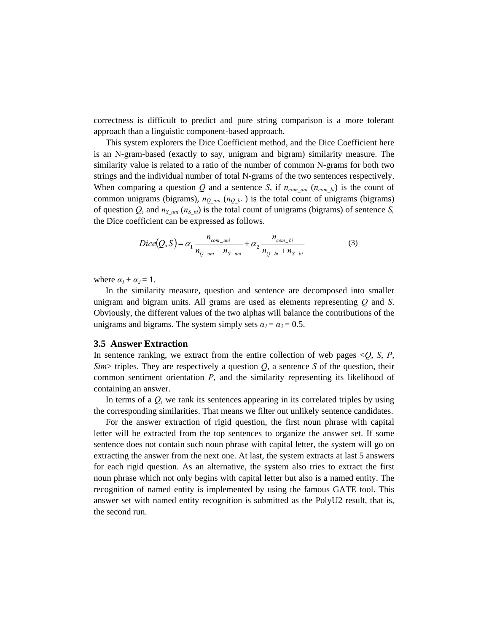correctness is difficult to predict and pure string comparison is a more tolerant approach than a linguistic component-based approach.

This system explorers the Dice Coefficient method, and the Dice Coefficient here is an N-gram-based (exactly to say, unigram and bigram) similarity measure. The similarity value is related to a ratio of the number of common N-grams for both two strings and the individual number of total N-grams of the two sentences respectively. When comparing a question  $Q$  and a sentence *S*, if  $n_{com\_uni}$  ( $n_{com\_bi}$ ) is the count of common unigrams (bigrams),  $n_{Q,\text{uni}}$  ( $n_{Q,\text{bi}}$ ) is the total count of unigrams (bigrams) of question *Q*, and  $n<sub>S</sub>$  uni ( $n<sub>S</sub>$  bi) is the total count of unigrams (bigrams) of sentence *S*, the Dice coefficient can be expressed as follows.

$$
Dice(Q, S) = \alpha_1 \frac{n_{com\_uni}}{n_{Q\_uni} + n_{S\_uni}} + \alpha_2 \frac{n_{com\_bi}}{n_{Q\_bi} + n_{S\_bi}}
$$
(3)

where  $\alpha_1 + \alpha_2 = 1$ .

In the similarity measure, question and sentence are decomposed into smaller unigram and bigram units. All grams are used as elements representing *Q* and *S*. Obviously, the different values of the two alphas will balance the contributions of the unigrams and bigrams. The system simply sets  $\alpha_1 = \alpha_2 = 0.5$ .

#### **3.5 Answer Extraction**

In sentence ranking, we extract from the entire collection of web pages  $\langle O, S, P, \rangle$ *Sim*> triples. They are respectively a question  $Q$ , a sentence  $S$  of the question, their common sentiment orientation *P*, and the similarity representing its likelihood of containing an answer.

In terms of a *Q*, we rank its sentences appearing in its correlated triples by using the corresponding similarities. That means we filter out unlikely sentence candidates.

For the answer extraction of rigid question, the first noun phrase with capital letter will be extracted from the top sentences to organize the answer set. If some sentence does not contain such noun phrase with capital letter, the system will go on extracting the answer from the next one. At last, the system extracts at last 5 answers for each rigid question. As an alternative, the system also tries to extract the first noun phrase which not only begins with capital letter but also is a named entity. The recognition of named entity is implemented by using the famous GATE tool. This answer set with named entity recognition is submitted as the PolyU2 result, that is, the second run.